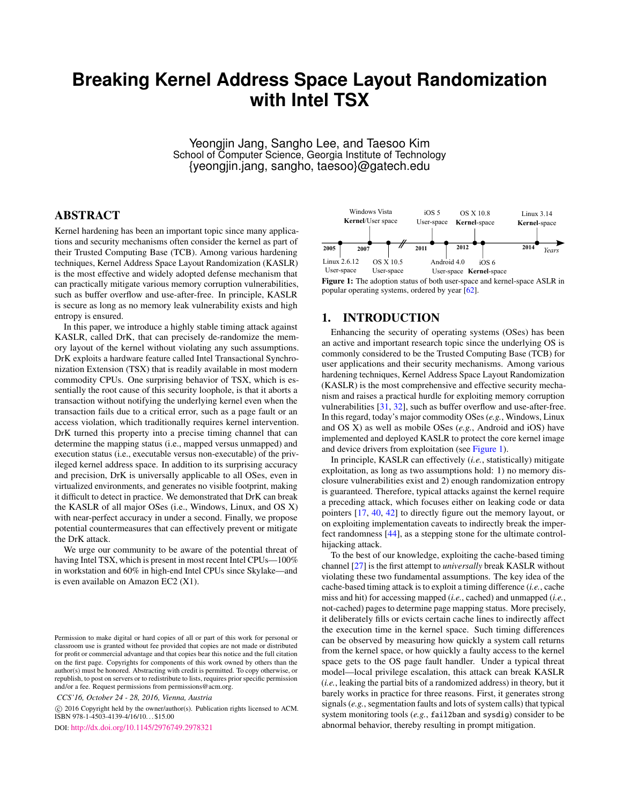# **Breaking Kernel Address Space Layout Randomization with Intel TSX**

Yeongjin Jang, Sangho Lee, and Taesoo Kim School of Computer Science, Georgia Institute of Technology {yeongjin.jang, sangho, taesoo}@gatech.edu

# ABSTRACT

Kernel hardening has been an important topic since many applications and security mechanisms often consider the kernel as part of their Trusted Computing Base (TCB). Among various hardening techniques, Kernel Address Space Layout Randomization (KASLR) is the most effective and widely adopted defense mechanism that can practically mitigate various memory corruption vulnerabilities, such as buffer overflow and use-after-free. In principle, KASLR is secure as long as no memory leak vulnerability exists and high entropy is ensured.

In this paper, we introduce a highly stable timing attack against KASLR, called DrK, that can precisely de-randomize the memory layout of the kernel without violating any such assumptions. DrK exploits a hardware feature called Intel Transactional Synchronization Extension (TSX) that is readily available in most modern commodity CPUs. One surprising behavior of TSX, which is essentially the root cause of this security loophole, is that it aborts a transaction without notifying the underlying kernel even when the transaction fails due to a critical error, such as a page fault or an access violation, which traditionally requires kernel intervention. DrK turned this property into a precise timing channel that can determine the mapping status (i.e., mapped versus unmapped) and execution status (i.e., executable versus non-executable) of the privileged kernel address space. In addition to its surprising accuracy and precision, DrK is universally applicable to all OSes, even in virtualized environments, and generates no visible footprint, making it difficult to detect in practice. We demonstrated that DrK can break the KASLR of all major OSes (i.e., Windows, Linux, and OS X) with near-perfect accuracy in under a second. Finally, we propose potential countermeasures that can effectively prevent or mitigate the DrK attack. **ABSTRACE**<br> **EXERIGNER INTERNATIONAL Weinforce that**<br> **EXERIGNER INTERNATIONAL WEIGHT INTERNATIONAL TRANSPARENT CONSUMER TRANSPARENT INTERNATIONAL TRANSPARENT INTERNATIONAL TRANSPARENT INTERNATIONAL TRANSPARENT INTERNATIO** 

We urge our community to be aware of the potential threat of having Intel TSX, which is present in most recent Intel CPUs—100% in workstation and 60% in high-end Intel CPUs since Skylake—and is even available on Amazon EC2 (X1).

*CCS'16, October 24 - 28, 2016, Vienna, Austria*

⃝c 2016 Copyright held by the owner/author(s). Publication rights licensed to ACM. ISBN 978-1-4503-4139-4/16/10. . . \$15.00

<span id="page-0-0"></span>



# 1. INTRODUCTION

Enhancing the security of operating systems (OSes) has been an active and important research topic since the underlying OS is commonly considered to be the Trusted Computing Base (TCB) for user applications and their security mechanisms. Among various hardening techniques, Kernel Address Space Layout Randomization (KASLR) is the most comprehensive and effective security mechanism and raises a practical hurdle for exploiting memory corruption vulnerabilities [\[31,](#page-12-1) [32\]](#page-12-2), such as buffer overflow and use-after-free. In this regard, today's major commodity OSes (*e.g.*, Windows, Linux and OS X) as well as mobile OSes (*e.g.*, Android and iOS) have implemented and deployed KASLR to protect the core kernel image and device drivers from exploitation (see [Figure 1\)](#page-0-0).

In principle, KASLR can effectively (*i.e.*, statistically) mitigate exploitation, as long as two assumptions hold: 1) no memory disclosure vulnerabilities exist and 2) enough randomization entropy is guaranteed. Therefore, typical attacks against the kernel require a preceding attack, which focuses either on leaking code or data pointers [\[17,](#page-11-0) [40,](#page-12-3) [42\]](#page-12-4) to directly figure out the memory layout, or on exploiting implementation caveats to indirectly break the imperfect randomness [\[44\]](#page-12-5), as a stepping stone for the ultimate controlhijacking attack.

To the best of our knowledge, exploiting the cache-based timing channel [\[27\]](#page-11-1) is the first attempt to *universally* break KASLR without violating these two fundamental assumptions. The key idea of the cache-based timing attack is to exploit a timing difference (*i.e.*, cache miss and hit) for accessing mapped (*i.e.*, cached) and unmapped (*i.e.*, not-cached) pages to determine page mapping status. More precisely, it deliberately fills or evicts certain cache lines to indirectly affect the execution time in the kernel space. Such timing differences can be observed by measuring how quickly a system call returns from the kernel space, or how quickly a faulty access to the kernel space gets to the OS page fault handler. Under a typical threat model—local privilege escalation, this attack can break KASLR (*i.e.*, leaking the partial bits of a randomized address) in theory, but it barely works in practice for three reasons. First, it generates strong signals (*e.g.*, segmentation faults and lots of system calls) that typical system monitoring tools (*e.g.*, fail2ban and sysdig) consider to be abnormal behavior, thereby resulting in prompt mitigation.

Permission to make digital or hard copies of all or part of this work for personal or classroom use is granted without fee provided that copies are not made or distributed for profit or commercial advantage and that copies bear this notice and the full citation on the first page. Copyrights for components of this work owned by others than the author(s) must be honored. Abstracting with credit is permitted. To copy otherwise, or republish, to post on servers or to redistribute to lists, requires prior specific permission and/or a fee. Request permissions from permissions@acm.org.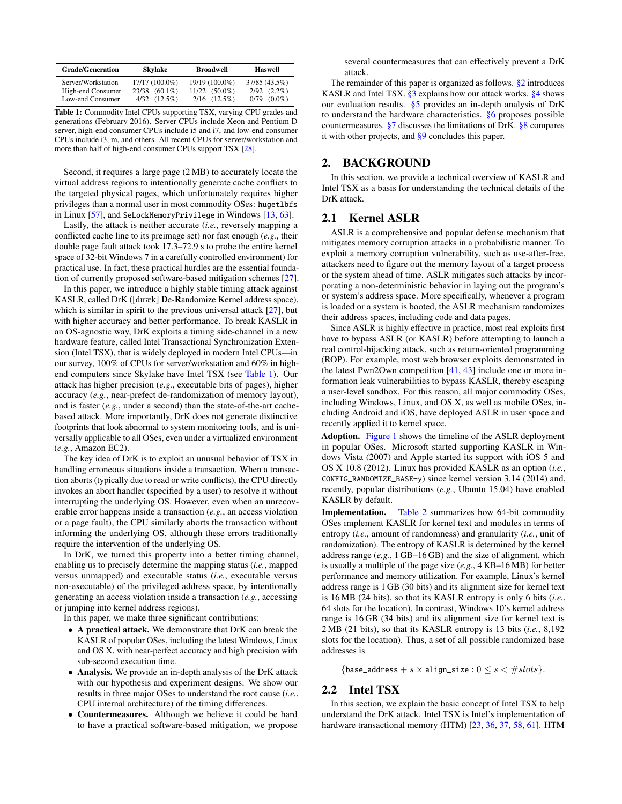<span id="page-1-0"></span>

| <b>Grade/Generation</b>                                     | <b>Skylake</b>                                         | <b>Broadwell</b>                                          | <b>Haswell</b>                                         |  |  |
|-------------------------------------------------------------|--------------------------------------------------------|-----------------------------------------------------------|--------------------------------------------------------|--|--|
| Server/Workstation<br>High-end Consumer<br>Low-end Consumer | 17/17 (100.0%)<br>$23/38$ (60.1%)<br>$4/32$ $(12.5\%)$ | 19/19 (100.0%)<br>$11/22$ $(50.0\%)$<br>$2/16$ $(12.5\%)$ | 37/85 (43.5%)<br>$2/92$ $(2.2\%)$<br>$(0.0\%)$<br>0/79 |  |  |

Table 1: Commodity Intel CPUs supporting TSX, varying CPU grades and generations (February 2016). Server CPUs include Xeon and Pentium D server, high-end consumer CPUs include i5 and i7, and low-end consumer CPUs include i3, m, and others. All recent CPUs for server/workstation and more than half of high-end consumer CPUs support TSX [\[28\]](#page-11-2).

Second, it requires a large page (2 MB) to accurately locate the virtual address regions to intentionally generate cache conflicts to the targeted physical pages, which unfortunately requires higher privileges than a normal user in most commodity OSes: hugetlbfs in Linux [\[57\]](#page-12-6), and SeLockMemoryPrivilege in Windows [\[13,](#page-11-3) [63\]](#page-12-7).

Lastly, the attack is neither accurate (*i.e.*, reversely mapping a conflicted cache line to its preimage set) nor fast enough (*e.g.*, their double page fault attack took 17.3–72.9 s to probe the entire kernel space of 32-bit Windows 7 in a carefully controlled environment) for practical use. In fact, these practical hurdles are the essential foundation of currently proposed software-based mitigation schemes [\[27\]](#page-11-1).

In this paper, we introduce a highly stable timing attack against KASLR, called DrK ([dɪræk] De-Randomize Kernel address space), which is similar in spirit to the previous universal attack [\[27\]](#page-11-1), but with higher accuracy and better performance. To break KASLR in an OS-agnostic way, DrK exploits a timing side-channel in a new hardware feature, called Intel Transactional Synchronization Extension (Intel TSX), that is widely deployed in modern Intel CPUs—in our survey, 100% of CPUs for server/workstation and 60% in highend computers since Skylake have Intel TSX (see [Table 1\)](#page-1-0). Our attack has higher precision (*e.g.*, executable bits of pages), higher accuracy (*e.g.*, near-prefect de-randomization of memory layout), and is faster (*e.g.*, under a second) than the state-of-the-art cachebased attack. More importantly, DrK does not generate distinctive footprints that look abnormal to system monitoring tools, and is universally applicable to all OSes, even under a virtualized environment (*e.g.*, Amazon EC2).

The key idea of DrK is to exploit an unusual behavior of TSX in handling erroneous situations inside a transaction. When a transaction aborts (typically due to read or write conflicts), the CPU directly invokes an abort handler (specified by a user) to resolve it without interrupting the underlying OS. However, even when an unrecoverable error happens inside a transaction (*e.g.*, an access violation or a page fault), the CPU similarly aborts the transaction without informing the underlying OS, although these errors traditionally require the intervention of the underlying OS.

In DrK, we turned this property into a better timing channel, enabling us to precisely determine the mapping status (*i.e.*, mapped versus unmapped) and executable status (*i.e.*, executable versus non-executable) of the privileged address space, by intentionally generating an access violation inside a transaction (*e.g.*, accessing or jumping into kernel address regions).

In this paper, we make three significant contributions:

- A practical attack. We demonstrate that DrK can break the KASLR of popular OSes, including the latest Windows, Linux and OS X, with near-perfect accuracy and high precision with sub-second execution time.
- Analysis. We provide an in-depth analysis of the DrK attack with our hypothesis and experiment designs. We show our results in three major OSes to understand the root cause (*i.e.*, CPU internal architecture) of the timing differences.
- Countermeasures. Although we believe it could be hard to have a practical software-based mitigation, we propose

several countermeasures that can effectively prevent a DrK attack.

The remainder of this paper is organized as follows. [§2](#page-1-1) introduces KASLR and Intel TSX. [§3](#page-2-0) explains how our attack works. [§4](#page-3-0) shows our evaluation results. [§5](#page-7-0) provides an in-depth analysis of DrK to understand the hardware characteristics. [§6](#page-9-0) proposes possible countermeasures. [§7](#page-9-1) discusses the limitations of DrK. [§8](#page-10-0) compares it with other projects, and [§9](#page-10-1) concludes this paper.

#### <span id="page-1-1"></span>2. BACKGROUND

In this section, we provide a technical overview of KASLR and Intel TSX as a basis for understanding the technical details of the DrK attack.

## 2.1 Kernel ASLR

ASLR is a comprehensive and popular defense mechanism that mitigates memory corruption attacks in a probabilistic manner. To exploit a memory corruption vulnerability, such as use-after-free, attackers need to figure out the memory layout of a target process or the system ahead of time. ASLR mitigates such attacks by incorporating a non-deterministic behavior in laying out the program's or system's address space. More specifically, whenever a program is loaded or a system is booted, the ASLR mechanism randomizes their address spaces, including code and data pages.

Since ASLR is highly effective in practice, most real exploits first have to bypass ASLR (or KASLR) before attempting to launch a real control-hijacking attack, such as return-oriented programming (ROP). For example, most web browser exploits demonstrated in the latest Pwn2Own competition [\[41,](#page-12-8) [43\]](#page-12-9) include one or more information leak vulnerabilities to bypass KASLR, thereby escaping a user-level sandbox. For this reason, all major commodity OSes, including Windows, Linux, and OS X, as well as mobile OSes, including Android and iOS, have deployed ASLR in user space and recently applied it to kernel space.

Adoption. [Figure 1](#page-0-0) shows the timeline of the ASLR deployment in popular OSes. Microsoft started supporting KASLR in Windows Vista (2007) and Apple started its support with iOS 5 and OS X 10.8 (2012). Linux has provided KASLR as an option (*i.e.*, CONFIG\_RANDOMIZE\_BASE=y) since kernel version 3.14 (2014) and, recently, popular distributions (*e.g.*, Ubuntu 15.04) have enabled KASLR by default.

Implementation. [Table 2](#page-2-1) summarizes how 64-bit commodity OSes implement KASLR for kernel text and modules in terms of entropy (*i.e.*, amount of randomness) and granularity (*i.e.*, unit of randomization). The entropy of KASLR is determined by the kernel address range (*e.g.*, 1 GB–16 GB) and the size of alignment, which is usually a multiple of the page size (*e.g.*, 4 KB–16 MB) for better performance and memory utilization. For example, Linux's kernel address range is 1 GB (30 bits) and its alignment size for kernel text is 16 MB (24 bits), so that its KASLR entropy is only 6 bits (*i.e.*, 64 slots for the location). In contrast, Windows 10's kernel address range is 16 GB (34 bits) and its alignment size for kernel text is 2 MB (21 bits), so that its KASLR entropy is 13 bits (*i.e.*, 8,192 slots for the location). Thus, a set of all possible randomized base addresses is

{base\_address  $+ s \times \text{align\_size} : 0 \leq s < \# slots$  }.

# <span id="page-1-2"></span>2.2 Intel TSX

In this section, we explain the basic concept of Intel TSX to help understand the DrK attack. Intel TSX is Intel's implementation of hardware transactional memory (HTM) [\[23,](#page-11-4) [36,](#page-12-10) [37,](#page-12-11) [58,](#page-12-12) [61\]](#page-12-13). HTM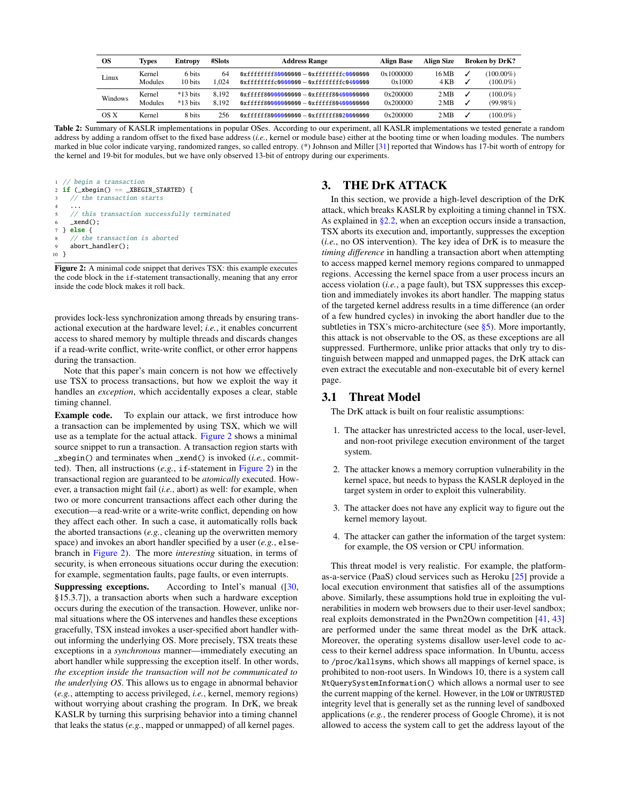<span id="page-2-1"></span>

| OS      | Types             | Entropy                                  | #Slots         | <b>Address Range</b>                                                                             | <b>Align Base</b>    | Align Size             | <b>Broken by DrK?</b>       |
|---------|-------------------|------------------------------------------|----------------|--------------------------------------------------------------------------------------------------|----------------------|------------------------|-----------------------------|
| Linux   | Kernel<br>Modules | 6 bits<br>10 bits                        | 64<br>.024     | 0xffffffff <mark>80000000 - 0xffffffffc0000000</mark><br>0xffffffffc0000000 - 0xffffffffc0400000 | 0x1000000<br>0x1000  | 16 MB<br>$4$ KB        | $(100.00\%)$<br>$(100.0\%)$ |
| Windows | Kernel<br>Modules | $*13 \text{ bits}$<br>$*13 \text{ bits}$ | 8.192<br>8.192 | $0xfffff80000000000 - 0xfffff80400000000$<br>$0xfffff80000000000 - 0xfffff80400000000$           | 0x200000<br>0x200000 | 2MB<br>2 <sub>MB</sub> | $(100.0\%)$<br>$(99.98\%)$  |
| OS X    | Kernel            | 8 bits                                   | 256            | $Qxfffffff8000000000 - Qxffffff8020000000$                                                       | 0x200000             | 2 <sub>MB</sub>        | $(100.0\%)$                 |

Table 2: Summary of KASLR implementations in popular OSes. According to our experiment, all KASLR implementations we tested generate a random address by adding a random offset to the fixed base address (*i.e.*, kernel or module base) either at the booting time or when loading modules. The numbers marked in blue color indicate varying, randomized ranges, so called entropy. (\*) Johnson and Miller [\[31\]](#page-12-1) reported that Windows has 17-bit worth of entropy for the kernel and 19-bit for modules, but we have only observed 13-bit of entropy during our experiments.

```
1 // begin a transaction
2 \text{ if } (\underline{\hspace{1mm}} \text{xbegin}() \ == \underline{\hspace{1mm}} \text{XBEGIN\_STARTED}) \ \{// the transaction starts
4 ...
     // this transaction successfully terminated
      _xend();
   7 } else {
      // the transaction is aborted
      abort_handler();
10 }
```
Figure 2: A minimal code snippet that derives TSX: this example executes the code block in the if-statement transactionally, meaning that any error inside the code block makes it roll back.

provides lock-less synchronization among threads by ensuring transactional execution at the hardware level; *i.e.*, it enables concurrent access to shared memory by multiple threads and discards changes if a read-write conflict, write-write conflict, or other error happens during the transaction.

Note that this paper's main concern is not how we effectively use TSX to process transactions, but how we exploit the way it handles an *exception*, which accidentally exposes a clear, stable timing channel.

Example code. To explain our attack, we first introduce how a transaction can be implemented by using TSX, which we will use as a template for the actual attack. [Figure 2](#page-2-2) shows a minimal source snippet to run a transaction. A transaction region starts with \_xbegin() and terminates when \_xend() is invoked (*i.e.*, committed). Then, all instructions (*e.g.*, if-statement in [Figure 2\)](#page-2-2) in the transactional region are guaranteed to be *atomically* executed. However, a transaction might fail (*i.e.*, abort) as well: for example, when two or more concurrent transactions affect each other during the execution—a read-write or a write-write conflict, depending on how they affect each other. In such a case, it automatically rolls back the aborted transactions (*e.g.*, cleaning up the overwritten memory space) and invokes an abort handler specified by a user (*e.g.*, elsebranch in [Figure 2\)](#page-2-2). The more *interesting* situation, in terms of security, is when erroneous situations occur during the execution: for example, segmentation faults, page faults, or even interrupts.

Suppressing exceptions. According to Intel's manual ([\[30,](#page-12-14) §15.3.7]), a transaction aborts when such a hardware exception occurs during the execution of the transaction. However, unlike normal situations where the OS intervenes and handles these exceptions gracefully, TSX instead invokes a user-specified abort handler without informing the underlying OS. More precisely, TSX treats these exceptions in a *synchronous* manner—immediately executing an abort handler while suppressing the exception itself. In other words, *the exception inside the transaction will not be communicated to the underlying OS*. This allows us to engage in abnormal behavior (*e.g.*, attempting to access privileged, *i.e.*, kernel, memory regions) without worrying about crashing the program. In DrK, we break KASLR by turning this surprising behavior into a timing channel that leaks the status (*e.g.*, mapped or unmapped) of all kernel pages.

# <span id="page-2-0"></span>3. THE DrK ATTACK

In this section, we provide a high-level description of the DrK attack, which breaks KASLR by exploiting a timing channel in TSX. As explained in  $\S 2.2$ , when an exception occurs inside a transaction, TSX aborts its execution and, importantly, suppresses the exception (*i.e.*, no OS intervention). The key idea of DrK is to measure the *timing difference* in handling a transaction abort when attempting to access mapped kernel memory regions compared to unmapped regions. Accessing the kernel space from a user process incurs an access violation (*i.e.*, a page fault), but TSX suppresses this exception and immediately invokes its abort handler. The mapping status of the targeted kernel address results in a time difference (an order of a few hundred cycles) in invoking the abort handler due to the subtleties in TSX's micro-architecture (see [§5\)](#page-7-0). More importantly, this attack is not observable to the OS, as these exceptions are all suppressed. Furthermore, unlike prior attacks that only try to distinguish between mapped and unmapped pages, the DrK attack can even extract the executable and non-executable bit of every kernel page.

# 3.1 Threat Model

The DrK attack is built on four realistic assumptions:

- 1. The attacker has unrestricted access to the local, user-level, and non-root privilege execution environment of the target system.
- 2. The attacker knows a memory corruption vulnerability in the kernel space, but needs to bypass the KASLR deployed in the target system in order to exploit this vulnerability.
- 3. The attacker does not have any explicit way to figure out the kernel memory layout.
- 4. The attacker can gather the information of the target system: for example, the OS version or CPU information.

This threat model is very realistic. For example, the platformas-a-service (PaaS) cloud services such as Heroku [\[25\]](#page-11-5) provide a local execution environment that satisfies all of the assumptions above. Similarly, these assumptions hold true in exploiting the vulnerabilities in modern web browsers due to their user-level sandbox; real exploits demonstrated in the Pwn2Own competition [\[41,](#page-12-8) [43\]](#page-12-9) are performed under the same threat model as the DrK attack. Moreover, the operating systems disallow user-level code to access to their kernel address space information. In Ubuntu, access to /proc/kallsyms, which shows all mappings of kernel space, is prohibited to non-root users. In Windows 10, there is a system call NtQuerySystemInformation() which allows a normal user to see the current mapping of the kernel. However, in the LOW or UNTRUSTED integrity level that is generally set as the running level of sandboxed applications (*e.g.*, the renderer process of Google Chrome), it is not allowed to access the system call to get the address layout of the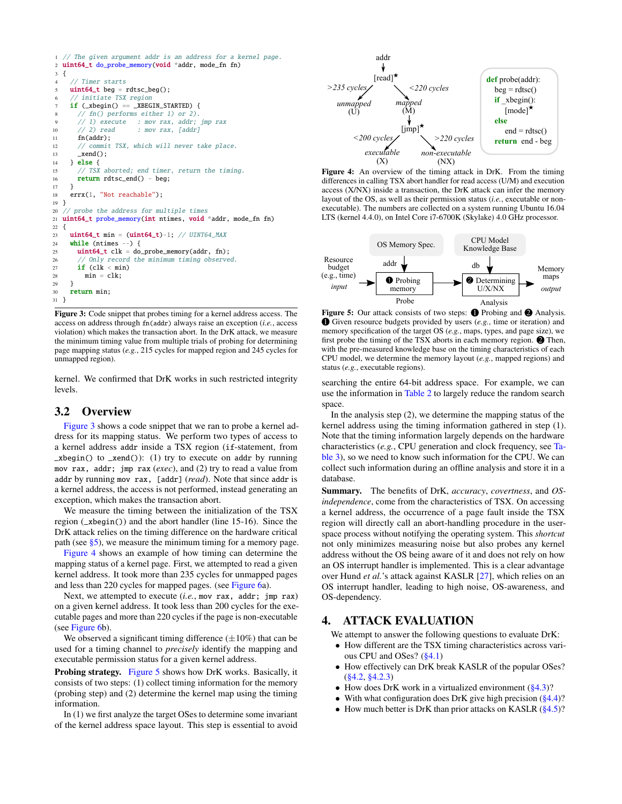```
1 // The given argument addr is an address for a kernel page.
2 uint64_t do_probe_memory(void *addr, mode_fn fn)
3 {
4 // Timer starts
5 uint64_t beg = rdtsc_bleg();
6 // initiate TSX region
7 if (_xbegin() == _XBEGIN_STARTED) {
8 // fn() performs either 1) or 2).
9 // 1) execute : mov rax, addr; jmp rax
10 // 2) read : mov rax, [addr]
11 fn(addr):
12 // commit TSX, which will never take place.
13 _xend();
14 } else {
15 // TSX aborted; end timer, return the timing.
16 return rdtsc_end() - beg;
17 }
18 errx(1, "Not reachable");
19 }
20 // probe the address for multiple times
21 uint64_t probe_memory(int ntimes, void *addr, mode_fn fn)
22 {
23 uint64_t min = (uint64_t)-1; // UINT64_MAX
24 while (ntimes --) {<br>25 uint64_t clk = do
      uint64_t clk = do_probe_memory(addr, fn);
26 // Only record the minimum timing observed.<br>27 if (clk < min)
      if (clk < min)28 min = clk;
29 }
30 return min;
31 }
```
Figure 3: Code snippet that probes timing for a kernel address access. The access on address through fn(addr) always raise an exception (*i.e.*, access violation) which makes the transaction abort. In the DrK attack, we measure the minimum timing value from multiple trials of probing for determining page mapping status (*e.g.*, 215 cycles for mapped region and 245 cycles for unmapped region).

kernel. We confirmed that DrK works in such restricted integrity levels.

#### 3.2 Overview

[Figure 3](#page-3-1) shows a code snippet that we ran to probe a kernel address for its mapping status. We perform two types of access to a kernel address addr inside a TSX region (if-statement, from  $\_xbegin()$  to  $\_xend()$ : (1) try to execute on addr by running mov rax, addr; jmp rax (*exec*), and (2) try to read a value from addr by running mov rax, [addr] (*read*). Note that since addr is a kernel address, the access is not performed, instead generating an exception, which makes the transaction abort.

We measure the timing between the initialization of the TSX region (\_xbegin()) and the abort handler (line 15-16). Since the DrK attack relies on the timing difference on the hardware critical path (see  $\S$ 5), we measure the minimum timing for a memory page.

[Figure 4](#page-3-2) shows an example of how timing can determine the mapping status of a kernel page. First, we attempted to read a given kernel address. It took more than 235 cycles for unmapped pages and less than 220 cycles for mapped pages. (see [Figure 6a](#page-4-0)).

Next, we attempted to execute (*i.e.*, mov rax, addr; jmp rax) on a given kernel address. It took less than 200 cycles for the executable pages and more than 220 cycles if the page is non-executable (see [Figure 6b](#page-4-0)).

We observed a significant timing difference  $(\pm 10\%)$  that can be used for a timing channel to *precisely* identify the mapping and executable permission status for a given kernel address.

Probing strategy. [Figure 5](#page-3-3) shows how DrK works. Basically, it consists of two steps: (1) collect timing information for the memory (probing step) and (2) determine the kernel map using the timing information.

In (1) we first analyze the target OSes to determine some invariant of the kernel address space layout. This step is essential to avoid

<span id="page-3-2"></span>

Figure 4: An overview of the timing attack in DrK. From the timing differences in calling TSX abort handler for read access (U/M) and execution access (X/NX) inside a transaction, the DrK attack can infer the memory layout of the OS, as well as their permission status (*i.e.*, executable or nonexecutable). The numbers are collected on a system running Ubuntu 16.04 LTS (kernel 4.4.0), on Intel Core i7-6700K (Skylake) 4.0 GHz processor.

<span id="page-3-3"></span>

Figure 5: Our attack consists of two steps:  $\bigcirc$  Probing and  $\bigcirc$  Analysis. 1 Given resource budgets provided by users (*e.g.*, time or iteration) and memory specification of the target OS (*e.g.*, maps, types, and page size), we first probe the timing of the TSX aborts in each memory region.  $\bigcirc$  Then, with the pre-measured knowledge base on the timing characteristics of each CPU model, we determine the memory layout (*e.g.*, mapped regions) and status (*e.g.*, executable regions).

searching the entire 64-bit address space. For example, we can use the information in [Table 2](#page-2-1) to largely reduce the random search space.

In the analysis step (2), we determine the mapping status of the kernel address using the timing information gathered in step (1). Note that the timing information largely depends on the hardware characteristics (*e.g.*, CPU generation and clock frequency, see [Ta](#page-4-1)[ble 3\)](#page-4-1), so we need to know such information for the CPU. We can collect such information during an offline analysis and store it in a database.

Summary. The benefits of DrK, *accuracy*, *covertness*, and *OSindependence*, come from the characteristics of TSX. On accessing a kernel address, the occurrence of a page fault inside the TSX region will directly call an abort-handling procedure in the userspace process without notifying the operating system. This *shortcut* not only minimizes measuring noise but also probes any kernel address without the OS being aware of it and does not rely on how an OS interrupt handler is implemented. This is a clear advantage over Hund *et al.*'s attack against KASLR [\[27\]](#page-11-1), which relies on an OS interrupt handler, leading to high noise, OS-awareness, and OS-dependency.

# <span id="page-3-0"></span>4. ATTACK EVALUATION

We attempt to answer the following questions to evaluate DrK:

- How different are the TSX timing characteristics across various CPU and OSes? [\(§4.1\)](#page-4-2)
- How effectively can DrK break KASLR of the popular OSes? [\(§4.2,](#page-5-0) [§4.2.3\)](#page-6-0)
- How does DrK work in a virtualized environment  $(\S 4.3)$ ?
- With what configuration does DrK give high precision  $(\frac{84.4}{?} )$ ?
- How much better is DrK than prior attacks on KASLR  $(\frac{8}{4.5})$ ?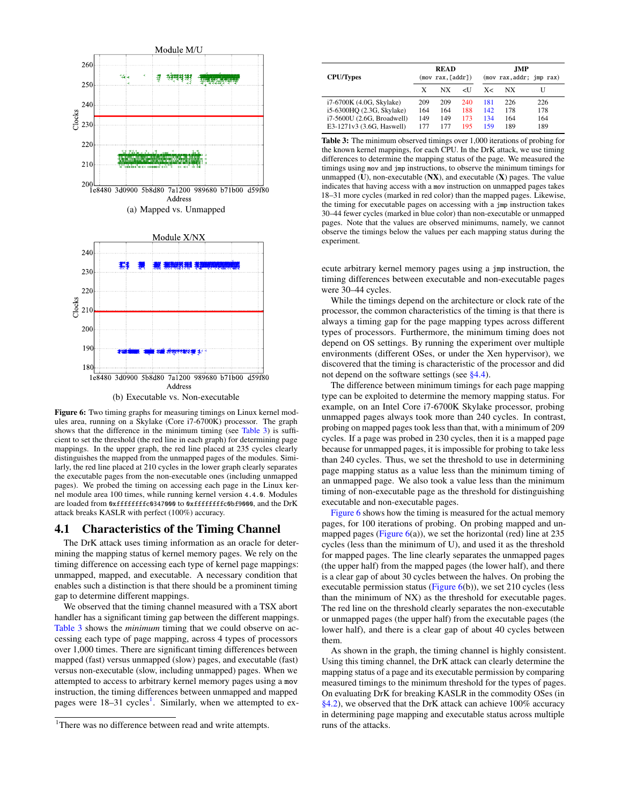<span id="page-4-0"></span>

Figure 6: Two timing graphs for measuring timings on Linux kernel modules area, running on a Skylake (Core i7-6700K) processor. The graph shows that the difference in the minimum timing (see [Table 3\)](#page-4-1) is sufficient to set the threshold (the red line in each graph) for determining page mappings. In the upper graph, the red line placed at 235 cycles clearly distinguishes the mapped from the unmapped pages of the modules. Similarly, the red line placed at 210 cycles in the lower graph clearly separates the executable pages from the non-executable ones (including unmapped pages). We probed the timing on accessing each page in the Linux kernel module area 100 times, while running kernel version 4.4.0. Modules are loaded from 0xffffffffc0347000 to 0xffffffffc0bf9000, and the DrK attack breaks KASLR with perfect (100%) accuracy.

## <span id="page-4-2"></span>4.1 Characteristics of the Timing Channel

The DrK attack uses timing information as an oracle for determining the mapping status of kernel memory pages. We rely on the timing difference on accessing each type of kernel page mappings: unmapped, mapped, and executable. A necessary condition that enables such a distinction is that there should be a prominent timing gap to determine different mappings.

We observed that the timing channel measured with a TSX abort handler has a significant timing gap between the different mappings. [Table 3](#page-4-1) shows the *minimum* timing that we could observe on accessing each type of page mapping, across 4 types of processors over 1,000 times. There are significant timing differences between mapped (fast) versus unmapped (slow) pages, and executable (fast) versus non-executable (slow, including unmapped) pages. When we attempted to access to arbitrary kernel memory pages using a mov instruction, the timing differences between unmapped and mapped pages were [1](#page-4-3)8–31 cycles<sup>1</sup>. Similarly, when we attempted to ex-

<span id="page-4-1"></span>

| <b>CPU/Types</b>                                                                                                 |                          | <b>READ</b><br>$(mov\, tax, [addr])$ |                          | JMP.<br>$(mov\, rax, addr; \, imp\, rax)$ |                          |                          |  |
|------------------------------------------------------------------------------------------------------------------|--------------------------|--------------------------------------|--------------------------|-------------------------------------------|--------------------------|--------------------------|--|
|                                                                                                                  | X                        | NX.                                  | <∐                       | $X \leq$                                  | NX                       | U                        |  |
| i7-6700K (4.0G, Skylake)<br>i5-6300HQ (2.3G, Skylake)<br>i7-5600U (2.6G, Broadwell)<br>E3-1271v3 (3.6G, Haswell) | 209<br>164<br>149<br>177 | 209<br>164<br>149<br>177             | 240<br>188<br>173<br>195 | 181<br>142<br>134<br>159                  | 226<br>178<br>164<br>189 | 226<br>178<br>164<br>189 |  |

Table 3: The minimum observed timings over 1,000 iterations of probing for the known kernel mappings, for each CPU. In the DrK attack, we use timing differences to determine the mapping status of the page. We measured the timings using mov and jmp instructions, to observe the minimum timings for unmapped  $(U)$ , non-executable  $(NX)$ , and executable  $(X)$  pages. The value indicates that having access with a mov instruction on unmapped pages takes 18–31 more cycles (marked in red color) than the mapped pages. Likewise, the timing for executable pages on accessing with a jmp instruction takes 30–44 fewer cycles (marked in blue color) than non-executable or unmapped pages. Note that the values are observed minimums, namely, we cannot observe the timings below the values per each mapping status during the experiment.

ecute arbitrary kernel memory pages using a jmp instruction, the timing differences between executable and non-executable pages were 30–44 cycles.

While the timings depend on the architecture or clock rate of the processor, the common characteristics of the timing is that there is always a timing gap for the page mapping types across different types of processors. Furthermore, the minimum timing does not depend on OS settings. By running the experiment over multiple environments (different OSes, or under the Xen hypervisor), we discovered that the timing is characteristic of the processor and did not depend on the software settings (see  $\S4.4$ ).

The difference between minimum timings for each page mapping type can be exploited to determine the memory mapping status. For example, on an Intel Core i7-6700K Skylake processor, probing unmapped pages always took more than 240 cycles. In contrast, probing on mapped pages took less than that, with a minimum of 209 cycles. If a page was probed in 230 cycles, then it is a mapped page because for unmapped pages, it is impossible for probing to take less than 240 cycles. Thus, we set the threshold to use in determining page mapping status as a value less than the minimum timing of an unmapped page. We also took a value less than the minimum timing of non-executable page as the threshold for distinguishing executable and non-executable pages.

[Figure 6](#page-4-0) shows how the timing is measured for the actual memory pages, for 100 iterations of probing. On probing mapped and unmapped pages (Figure  $6(a)$ ), we set the horizontal (red) line at 235 cycles (less than the minimum of U), and used it as the threshold for mapped pages. The line clearly separates the unmapped pages (the upper half) from the mapped pages (the lower half), and there is a clear gap of about 30 cycles between the halves. On probing the executable permission status [\(Figure 6\(](#page-4-0)b)), we set 210 cycles (less than the minimum of NX) as the threshold for executable pages. The red line on the threshold clearly separates the non-executable or unmapped pages (the upper half) from the executable pages (the lower half), and there is a clear gap of about 40 cycles between them.

As shown in the graph, the timing channel is highly consistent. Using this timing channel, the DrK attack can clearly determine the mapping status of a page and its executable permission by comparing measured timings to the minimum threshold for the types of pages. On evaluating DrK for breaking KASLR in the commodity OSes (in [§4.2\)](#page-5-0), we observed that the DrK attack can achieve 100% accuracy in determining page mapping and executable status across multiple runs of the attacks.

<span id="page-4-3"></span><sup>&</sup>lt;sup>1</sup>There was no difference between read and write attempts.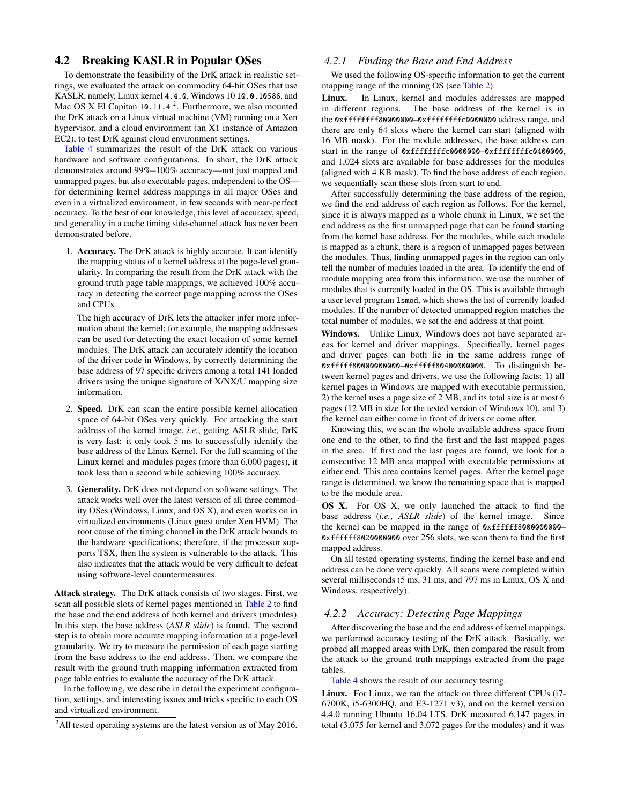# <span id="page-5-0"></span>4.2 Breaking KASLR in Popular OSes

To demonstrate the feasibility of the DrK attack in realistic settings, we evaluated the attack on commodity 64-bit OSes that use KASLR, namely, Linux kernel 4.4.0, Windows 10 10.0.10586, and Mac OS X El Capitan 10.11.4<sup>[2](#page-5-1)</sup>. Furthermore, we also mounted the DrK attack on a Linux virtual machine (VM) running on a Xen hypervisor, and a cloud environment (an X1 instance of Amazon EC2), to test DrK against cloud environment settings.

[Table 4](#page-6-2) summarizes the result of the DrK attack on various hardware and software configurations. In short, the DrK attack demonstrates around 99%–100% accuracy—not just mapped and unmapped pages, but also executable pages, independent to the OS for determining kernel address mappings in all major OSes and even in a virtualized environment, in few seconds with near-perfect accuracy. To the best of our knowledge, this level of accuracy, speed, and generality in a cache timing side-channel attack has never been demonstrated before.

1. Accuracy. The DrK attack is highly accurate. It can identify the mapping status of a kernel address at the page-level granularity. In comparing the result from the DrK attack with the ground truth page table mappings, we achieved 100% accuracy in detecting the correct page mapping across the OSes and CPUs.

The high accuracy of DrK lets the attacker infer more information about the kernel; for example, the mapping addresses can be used for detecting the exact location of some kernel modules. The DrK attack can accurately identify the location of the driver code in Windows, by correctly determining the base address of 97 specific drivers among a total 141 loaded drivers using the unique signature of X/NX/U mapping size information.

- 2. Speed. DrK can scan the entire possible kernel allocation space of 64-bit OSes very quickly. For attacking the start address of the kernel image, *i.e.*, getting ASLR slide, DrK is very fast: it only took 5 ms to successfully identify the base address of the Linux Kernel. For the full scanning of the Linux kernel and modules pages (more than 6,000 pages), it took less than a second while achieving 100% accuracy.
- 3. Generality. DrK does not depend on software settings. The attack works well over the latest version of all three commodity OSes (Windows, Linux, and OS X), and even works on in virtualized environments (Linux guest under Xen HVM). The root cause of the timing channel in the DrK attack bounds to the hardware specifications; therefore, if the processor supports TSX, then the system is vulnerable to the attack. This also indicates that the attack would be very difficult to defeat using software-level countermeasures.

Attack strategy. The DrK attack consists of two stages. First, we scan all possible slots of kernel pages mentioned in [Table 2](#page-2-1) to find the base and the end address of both kernel and drivers (modules). In this step, the base address (*ASLR slide*) is found. The second step is to obtain more accurate mapping information at a page-level granularity. We try to measure the permission of each page starting from the base address to the end address. Then, we compare the result with the ground truth mapping information extracted from page table entries to evaluate the accuracy of the DrK attack.

In the following, we describe in detail the experiment configuration, settings, and interesting issues and tricks specific to each OS and virtualized environment.

#### *4.2.1 Finding the Base and End Address*

We used the following OS-specific information to get the current mapping range of the running OS (see [Table 2\)](#page-2-1).

Linux. In Linux, kernel and modules addresses are mapped in different regions. The base address of the kernel is in the 0xffffffff80000000–0xffffffffc0000000 address range, and there are only 64 slots where the kernel can start (aligned with 16 MB mask). For the module addresses, the base address can start in the range of 0xffffffffc0000000–0xffffffffc0400000, and 1,024 slots are available for base addresses for the modules (aligned with 4 KB mask). To find the base address of each region, we sequentially scan those slots from start to end.

After successfully determining the base address of the region, we find the end address of each region as follows. For the kernel, since it is always mapped as a whole chunk in Linux, we set the end address as the first unmapped page that can be found starting from the kernel base address. For the modules, while each module is mapped as a chunk, there is a region of unmapped pages between the modules. Thus, finding unmapped pages in the region can only tell the number of modules loaded in the area. To identify the end of module mapping area from this information, we use the number of modules that is currently loaded in the OS. This is available through a user level program lsmod, which shows the list of currently loaded modules. If the number of detected unmapped region matches the total number of modules, we set the end address at that point.

Windows. Unlike Linux, Windows does not have separated areas for kernel and driver mappings. Specifically, kernel pages and driver pages can both lie in the same address range of 0xfffff80000000000–0xfffff80400000000. To distinguish between kernel pages and drivers, we use the following facts: 1) all kernel pages in Windows are mapped with executable permission, 2) the kernel uses a page size of 2 MB, and its total size is at most 6 pages (12 MB in size for the tested version of Windows 10), and 3) the kernel can either come in front of drivers or come after.

Knowing this, we scan the whole available address space from one end to the other, to find the first and the last mapped pages in the area. If first and the last pages are found, we look for a consecutive 12 MB area mapped with executable permissions at either end. This area contains kernel pages. After the kernel page range is determined, we know the remaining space that is mapped to be the module area.

OS X. For OS X, we only launched the attack to find the base address (*i.e.*, *ASLR slide*) of the kernel image. Since the kernel can be mapped in the range of  $\alpha$ fffffff800000000000 0xffffff8020000000 over 256 slots, we scan them to find the first mapped address.

On all tested operating systems, finding the kernel base and end address can be done very quickly. All scans were completed within several milliseconds (5 ms, 31 ms, and 797 ms in Linux, OS X and Windows, respectively).

#### *4.2.2 Accuracy: Detecting Page Mappings*

After discovering the base and the end address of kernel mappings, we performed accuracy testing of the DrK attack. Basically, we probed all mapped areas with DrK, then compared the result from the attack to the ground truth mappings extracted from the page tables.

[Table 4](#page-6-2) shows the result of our accuracy testing.

Linux. For Linux, we ran the attack on three different CPUs (i7- 6700K, i5-6300HQ, and E3-1271 v3), and on the kernel version 4.4.0 running Ubuntu 16.04 LTS. DrK measured 6,147 pages in total (3,075 for kernel and 3,072 pages for the modules) and it was

<span id="page-5-1"></span><sup>&</sup>lt;sup>2</sup>All tested operating systems are the latest version as of May 2016.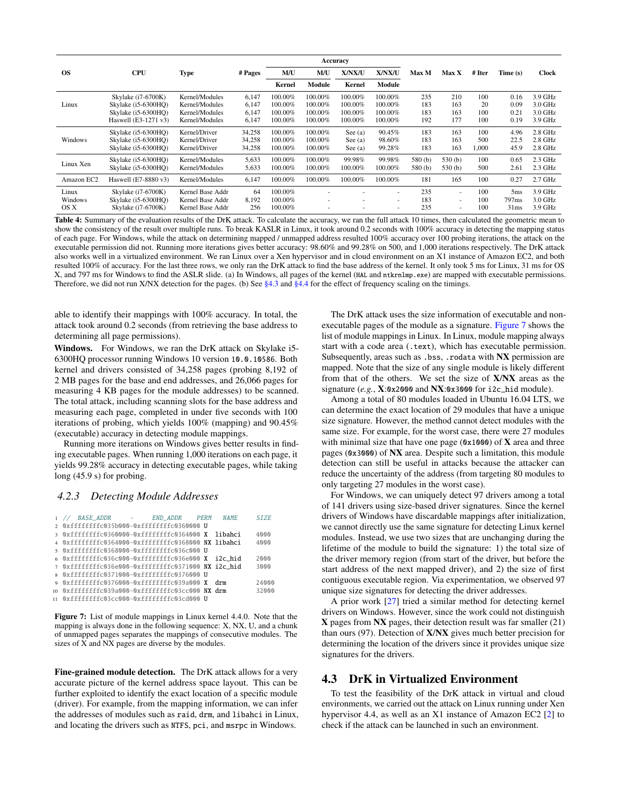<span id="page-6-2"></span>

|            | Accuracy             |                  |         |         |         |                          |                          |              |              |        |                   |              |
|------------|----------------------|------------------|---------|---------|---------|--------------------------|--------------------------|--------------|--------------|--------|-------------------|--------------|
| <b>OS</b>  | <b>CPU</b>           | <b>Type</b>      | # Pages | M/U     | M/U     | X/NX/U                   | X/NX/U                   | <b>Max M</b> | <b>Max X</b> | # Iter | Time (s)          | <b>Clock</b> |
|            |                      |                  |         | Kernel  | Module  | Kernel                   | Module                   |              |              |        |                   |              |
|            | Skylake (i7-6700K)   | Kernel/Modules   | 6,147   | 100.00% | 100.00% | 100.00%                  | 100.00%                  | 235          | 210          | 100    | 0.16              | 3.9 GHz      |
| Linux      | Skylake (i5-6300HQ)  | Kernel/Modules   | 6,147   | 100.00% | 100.00% | 100.00%                  | 100.00%                  | 183          | 163          | 20     | 0.09              | 3.0 GHz      |
|            | Skylake (i5-6300HQ)  | Kernel/Modules   | 6,147   | 100.00% | 100.00% | 100.00%                  | 100.00%                  | 183          | 163          | 100    | 0.21              | 3.0 GHz      |
|            | Haswell (E3-1271 v3) | Kernel/Modules   | 6,147   | 100.00% | 100.00% | 100.00%                  | 100.00%                  | 192          | 177          | 100    | 0.19              | 3.9 GHz      |
|            | Skylake (i5-6300HQ)  | Kernel/Driver    | 34,258  | 100.00% | 100.00% | See $(a)$                | 90.45%                   | 183          | 163          | 100    | 4.96              | $2.8$ GHz    |
| Windows    | Skylake (i5-6300HQ)  | Kernel/Driver    | 34,258  | 100.00% | 100.00% | See $(a)$                | 98.60%                   | 183          | 163          | 500    | 22.5              | $2.8$ GHz    |
|            | Skylake (i5-6300HQ)  | Kernel/Driver    | 34,258  | 100.00% | 100.00% | See $(a)$                | 99.28%                   | 183          | 163          | 1,000  | 45.9              | $2.8$ GHz    |
| Linux Xen  | Skylake (i5-6300HQ)  | Kernel/Modules   | 5,633   | 100.00% | 100.00% | 99.98%                   | 99.98%                   | 580(b)       | 530(b)       | 100    | 0.65              | $2.3$ GHz    |
|            | Skylake (i5-6300HQ)  | Kernel/Modules   | 5,633   | 100.00% | 100.00% | 100.00%                  | 100.00%                  | 580(b)       | 530 $(b)$    | 500    | 2.61              | $2.3$ GHz    |
| Amazon EC2 | Haswell (E7-8880 v3) | Kernel/Modules   | 6,147   | 100.00% | 100.00% | 100.00%                  | 100.00%                  | 181          | 165          | 100    | 0.27              | $2.7$ GHz    |
| Linux      | Skylake (i7-6700K)   | Kernel Base Addr | 64      | 100.00% | ٠       |                          | $\overline{\phantom{a}}$ | 235          | ÷            | 100    | 5 <sub>ms</sub>   | 3.9 GHz      |
| Windows    | Skylake (i5-6300HQ)  | Kernel Base Addr | 8,192   | 100.00% | ٠       | $\overline{\phantom{a}}$ | $\overline{\phantom{a}}$ | 183          | ÷            | 100    | 797 <sub>ms</sub> | 3.0 GHz      |
| OS X       | Skylake (i7-6700K)   | Kernel Base Addr | 256     | 100.00% | ۰       |                          | $\overline{\phantom{a}}$ | 235          | ۰            | 100    | 31ms              | 3.9 GHz      |

Table 4: Summary of the evaluation results of the DrK attack. To calculate the accuracy, we ran the full attack 10 times, then calculated the geometric mean to show the consistency of the result over multiple runs. To break KASLR in Linux, it took around 0.2 seconds with 100% accuracy in detecting the mapping status of each page. For Windows, while the attack on determining mapped / unmapped address resulted 100% accuracy over 100 probing iterations, the attack on the executable permission did not. Running more iterations gives better accuracy: 98.60% and 99.28% on 500, and 1,000 iterations respectively. The DrK attack also works well in a virtualized environment. We ran Linux over a Xen hypervisor and in cloud environment on an X1 instance of Amazon EC2, and both resulted 100% of accuracy. For the last three rows, we only ran the DrK attack to find the base address of the kernel. It only took 5 ms for Linux, 31 ms for OS X, and 797 ms for Windows to find the ASLR slide. (a) In Windows, all pages of the kernel (HAL and ntkrnlmp.exe) are mapped with executable permissions. Therefore, we did not run X/NX detection for the pages. (b) See [§4.3](#page-6-1) and [§4.4](#page-7-1) for the effect of frequency scaling on the timings.

able to identify their mappings with 100% accuracy. In total, the attack took around 0.2 seconds (from retrieving the base address to determining all page permissions).

Windows. For Windows, we ran the DrK attack on Skylake i5- 6300HQ processor running Windows 10 version 10.0.10586. Both kernel and drivers consisted of 34,258 pages (probing 8,192 of 2 MB pages for the base and end addresses, and 26,066 pages for measuring 4 KB pages for the module addresses) to be scanned. The total attack, including scanning slots for the base address and measuring each page, completed in under five seconds with 100 iterations of probing, which yields 100% (mapping) and 90.45% (executable) accuracy in detecting module mappings.

Running more iterations on Windows gives better results in finding executable pages. When running 1,000 iterations on each page, it yields 99.28% accuracy in detecting executable pages, while taking long (45.9 s) for probing.

#### <span id="page-6-0"></span>*4.2.3 Detecting Module Addresses*

<span id="page-6-3"></span>

|  |  |                                                 |  |  |                                                    | <b>STZE</b> |
|--|--|-------------------------------------------------|--|--|----------------------------------------------------|-------------|
|  |  | 2 0xffffffffc035b000-0xffffffffc0360000 U       |  |  |                                                    |             |
|  |  |                                                 |  |  | 3 Oxffffffffc0360000-0xffffffffc0364000 X libahci  | 4000        |
|  |  |                                                 |  |  | 4 0xffffffffc0364000-0xffffffffc0368000 NX libahci | 4000        |
|  |  | 5 Oxffffffffc0368000-0xffffffffc036c000 U       |  |  |                                                    |             |
|  |  |                                                 |  |  | 6 Oxffffffffc036c000-0xffffffffc036e000 X i2c hid  | 2000        |
|  |  |                                                 |  |  | 7 Oxffffffffc036e000-0xffffffffc0371000 NX i2c hid | 90003       |
|  |  | 8 Oxffffffffc0371000-0xffffffffc0376000 U       |  |  |                                                    |             |
|  |  | 9 Oxffffffffc0376000-0xffffffffc039a000 X drm   |  |  |                                                    | 24000       |
|  |  | 10 0xffffffffc039a000-0xffffffffc03cc000 NX drm |  |  |                                                    | 32000       |
|  |  | 11 Oxffffffffc03cc000-0xffffffffc03cd000 U      |  |  |                                                    |             |
|  |  |                                                 |  |  |                                                    |             |

Figure 7: List of module mappings in Linux kernel 4.4.0. Note that the mapping is always done in the following sequence: X, NX, U, and a chunk of unmapped pages separates the mappings of consecutive modules. The sizes of X and NX pages are diverse by the modules.

Fine-grained module detection. The DrK attack allows for a very accurate picture of the kernel address space layout. This can be further exploited to identify the exact location of a specific module (driver). For example, from the mapping information, we can infer the addresses of modules such as raid, drm, and libahci in Linux, and locating the drivers such as NTFS, pci, and msrpc in Windows.

The DrK attack uses the size information of executable and nonexecutable pages of the module as a signature. [Figure 7](#page-6-3) shows the list of module mappings in Linux. In Linux, module mapping always start with a code area (.text), which has executable permission. Subsequently, areas such as .bss, .rodata with NX permission are mapped. Note that the size of any single module is likely different from that of the others. We set the size of X/NX areas as the signature (*e.g.*, X:0x2000 and NX:0x3000 for i2c\_hid module).

Among a total of 80 modules loaded in Ubuntu 16.04 LTS, we can determine the exact location of 29 modules that have a unique size signature. However, the method cannot detect modules with the same size. For example, for the worst case, there were 27 modules with minimal size that have one page ( $0x1000$ ) of **X** area and three pages (0x3000) of NX area. Despite such a limitation, this module detection can still be useful in attacks because the attacker can reduce the uncertainty of the address (from targeting 80 modules to only targeting 27 modules in the worst case).

For Windows, we can uniquely detect 97 drivers among a total of 141 drivers using size-based driver signatures. Since the kernel drivers of Windows have discardable mappings after initialization, we cannot directly use the same signature for detecting Linux kernel modules. Instead, we use two sizes that are unchanging during the lifetime of the module to build the signature: 1) the total size of the driver memory region (from start of the driver, but before the start address of the next mapped driver), and 2) the size of first contiguous executable region. Via experimentation, we observed 97 unique size signatures for detecting the driver addresses.

A prior work [\[27\]](#page-11-1) tried a similar method for detecting kernel drivers on Windows. However, since the work could not distinguish X pages from NX pages, their detection result was far smaller (21) than ours (97). Detection of X/NX gives much better precision for determining the location of the drivers since it provides unique size signatures for the drivers.

## <span id="page-6-1"></span>4.3 DrK in Virtualized Environment

To test the feasibility of the DrK attack in virtual and cloud environments, we carried out the attack on Linux running under Xen hypervisor 4.4, as well as an X1 instance of Amazon EC2 [\[2\]](#page-11-6) to check if the attack can be launched in such an environment.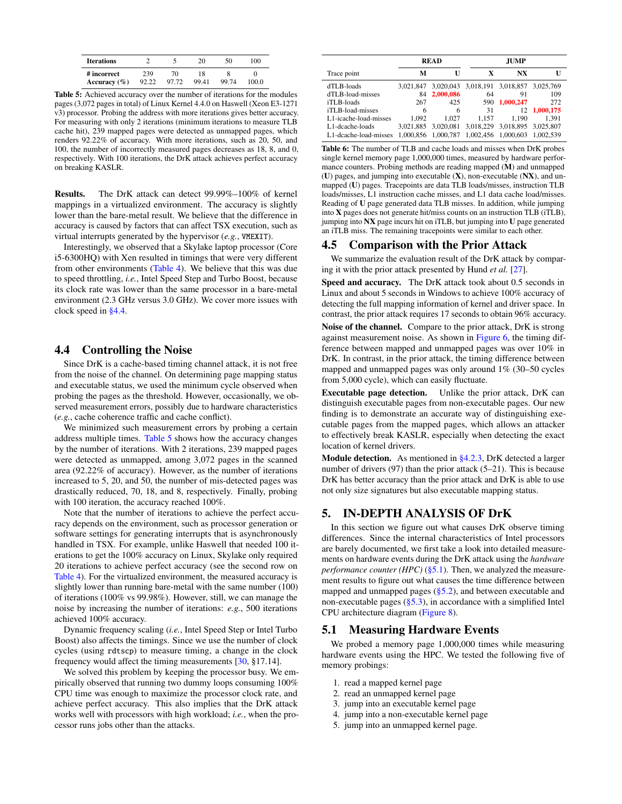<span id="page-7-3"></span>

| <b>Iterations</b> |       |       | 20    | 50    | 100   |
|-------------------|-------|-------|-------|-------|-------|
| # incorrect       | 239   | 70.   | 18    |       |       |
| Accuracy $(\% )$  | 92.22 | 97.72 | 99.41 | 99.74 | 100 O |

Table 5: Achieved accuracy over the number of iterations for the modules pages (3,072 pages in total) of Linux Kernel 4.4.0 on Haswell (Xeon E3-1271 v3) processor. Probing the address with more iterations gives better accuracy. For measuring with only 2 iterations (minimum iterations to measure TLB cache hit), 239 mapped pages were detected as unmapped pages, which renders 92.22% of accuracy. With more iterations, such as 20, 50, and 100, the number of incorrectly measured pages decreases as 18, 8, and 0, respectively. With 100 iterations, the DrK attack achieves perfect accuracy on breaking KASLR.

Results. The DrK attack can detect 99.99%–100% of kernel mappings in a virtualized environment. The accuracy is slightly lower than the bare-metal result. We believe that the difference in accuracy is caused by factors that can affect TSX execution, such as virtual interrupts generated by the hypervisor (*e.g.*, VMEXIT).

Interestingly, we observed that a Skylake laptop processor (Core i5-6300HQ) with Xen resulted in timings that were very different from other environments [\(Table 4\)](#page-6-2). We believe that this was due to speed throttling, *i.e.*, Intel Speed Step and Turbo Boost, because its clock rate was lower than the same processor in a bare-metal environment (2.3 GHz versus 3.0 GHz). We cover more issues with clock speed in [§4.4.](#page-7-1)

#### <span id="page-7-1"></span>4.4 Controlling the Noise

Since DrK is a cache-based timing channel attack, it is not free from the noise of the channel. On determining page mapping status and executable status, we used the minimum cycle observed when probing the pages as the threshold. However, occasionally, we observed measurement errors, possibly due to hardware characteristics (*e.g.*, cache coherence traffic and cache conflict).

We minimized such measurement errors by probing a certain address multiple times. [Table 5](#page-7-3) shows how the accuracy changes by the number of iterations. With 2 iterations, 239 mapped pages were detected as unmapped, among 3,072 pages in the scanned area (92.22% of accuracy). However, as the number of iterations increased to 5, 20, and 50, the number of mis-detected pages was drastically reduced, 70, 18, and 8, respectively. Finally, probing with 100 iteration, the accuracy reached 100%.

Note that the number of iterations to achieve the perfect accuracy depends on the environment, such as processor generation or software settings for generating interrupts that is asynchronously handled in TSX. For example, unlike Haswell that needed 100 iterations to get the 100% accuracy on Linux, Skylake only required 20 iterations to achieve perfect accuracy (see the second row on [Table 4\)](#page-6-2). For the virtualized environment, the measured accuracy is slightly lower than running bare-metal with the same number (100) of iterations (100% vs 99.98%). However, still, we can manage the noise by increasing the number of iterations: *e.g.*, 500 iterations achieved 100% accuracy.

Dynamic frequency scaling (*i.e.*, Intel Speed Step or Intel Turbo Boost) also affects the timings. Since we use the number of clock cycles (using rdtscp) to measure timing, a change in the clock frequency would affect the timing measurements [\[30,](#page-12-14) §17.14].

We solved this problem by keeping the processor busy. We empirically observed that running two dummy loops consuming 100% CPU time was enough to maximize the processor clock rate, and achieve perfect accuracy. This also implies that the DrK attack works well with processors with high workload; *i.e.*, when the processor runs jobs other than the attacks.

<span id="page-7-5"></span>

|                       |           | <b>READ</b>                                       |       | <b>JUMP</b>                             |              |  |  |
|-----------------------|-----------|---------------------------------------------------|-------|-----------------------------------------|--------------|--|--|
| Trace point           | м         | U                                                 | X     | NX                                      | U            |  |  |
| dTLB-loads            | 3.021.847 |                                                   |       | 3,020,043 3,018,191 3,018,857 3,025,769 |              |  |  |
| dTLB-load-misses      |           | 84 2.000.086                                      | 64    | 91                                      | 109          |  |  |
| iTLB-loads            | 267       | 425                                               | 590   | 1,000,247                               | 272          |  |  |
| iTLB-load-misses      | 6         | 6                                                 | 31    |                                         | 12 1,000,175 |  |  |
| L1-icache-load-misses | 1.092     | 1.027                                             | 1.157 | 1.190                                   | 1.391        |  |  |
| L1-deache-loads       |           | 3,021,885 3,020,081 3,018,229 3,018,895 3,025,807 |       |                                         |              |  |  |
| L1-dcache-load-misses |           | 1,000,856 1,000,787 1,002,456 1,000,603           |       |                                         | 1.002.539    |  |  |

Table 6: The number of TLB and cache loads and misses when DrK probes single kernel memory page 1,000,000 times, measured by hardware performance counters. Probing methods are reading mapped (M) and unmapped (U) pages, and jumping into executable  $(X)$ , non-executable  $(NX)$ , and unmapped (U) pages. Tracepoints are data TLB loads/misses, instruction TLB loads/misses, L1 instruction cache misses, and L1 data cache load/misses. Reading of U page generated data TLB misses. In addition, while jumping into X pages does not generate hit/miss counts on an instruction TLB (iTLB), jumping into NX page incurs hit on iTLB, but jumping into U page generated an iTLB miss. The remaining tracepoints were similar to each other.

## <span id="page-7-2"></span>4.5 Comparison with the Prior Attack

We summarize the evaluation result of the DrK attack by comparing it with the prior attack presented by Hund *et al.* [\[27\]](#page-11-1).

Speed and accuracy. The DrK attack took about 0.5 seconds in Linux and about 5 seconds in Windows to achieve 100% accuracy of detecting the full mapping information of kernel and driver space. In contrast, the prior attack requires 17 seconds to obtain 96% accuracy.

Noise of the channel. Compare to the prior attack, DrK is strong against measurement noise. As shown in [Figure 6,](#page-4-0) the timing difference between mapped and unmapped pages was over 10% in DrK. In contrast, in the prior attack, the timing difference between mapped and unmapped pages was only around 1% (30–50 cycles from 5,000 cycle), which can easily fluctuate.

Executable page detection. Unlike the prior attack, DrK can distinguish executable pages from non-executable pages. Our new finding is to demonstrate an accurate way of distinguishing executable pages from the mapped pages, which allows an attacker to effectively break KASLR, especially when detecting the exact location of kernel drivers.

Module detection. As mentioned in [§4.2.3,](#page-6-0) DrK detected a larger number of drivers (97) than the prior attack (5–21). This is because DrK has better accuracy than the prior attack and DrK is able to use not only size signatures but also executable mapping status.

# <span id="page-7-0"></span>5. IN-DEPTH ANALYSIS OF DrK

In this section we figure out what causes DrK observe timing differences. Since the internal characteristics of Intel processors are barely documented, we first take a look into detailed measurements on hardware events during the DrK attack using the *hardware performance counter (HPC)* [\(§5.1\)](#page-7-4). Then, we analyzed the measurement results to figure out what causes the time difference between mapped and unmapped pages  $(\S$ 5.2), and between executable and non-executable pages  $(\S5.3)$ , in accordance with a simplified Intel CPU architecture diagram [\(Figure 8\)](#page-8-2).

## <span id="page-7-4"></span>5.1 Measuring Hardware Events

We probed a memory page 1,000,000 times while measuring hardware events using the HPC. We tested the following five of memory probings:

- 1. read a mapped kernel page
- 2. read an unmapped kernel page
- 3. jump into an executable kernel page
- 4. jump into a non-executable kernel page
- 5. jump into an unmapped kernel page.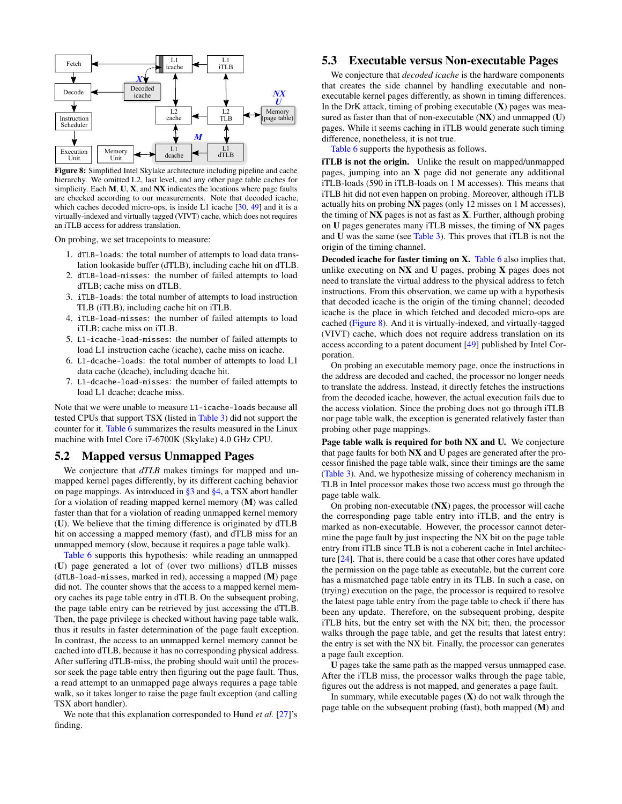<span id="page-8-2"></span>

Figure 8: Simplified Intel Skylake architecture including pipeline and cache hierarchy. We omitted L2, last level, and any other page table caches for simplicity. Each  $M$ ,  $U$ ,  $X$ , and  $NX$  indicates the locations where page faults are checked according to our measurements. Note that decoded icache, which caches decoded micro-ops, is inside L1 icache  $[30, 49]$  $[30, 49]$  $[30, 49]$  and it is a virtually-indexed and virtually tagged (VIVT) cache, which does not requires an iTLB access for address translation.

On probing, we set tracepoints to measure:

- 1. dTLB-loads: the total number of attempts to load data translation lookaside buffer (dTLB), including cache hit on dTLB.
- 2. dTLB-load-misses: the number of failed attempts to load dTLB; cache miss on dTLB.
- 3. iTLB-loads: the total number of attempts to load instruction TLB (iTLB), including cache hit on iTLB.
- 4. iTLB-load-misses: the number of failed attempts to load iTLB; cache miss on iTLB.
- 5. L1-icache-load-misses: the number of failed attempts to load L1 instruction cache (icache), cache miss on icache.
- 6. L1-dcache-loads: the total number of attempts to load L1 data cache (dcache), including dcache hit.
- 7. L1-dcache-load-misses: the number of failed attempts to load L1 dcache; dcache miss.

Note that we were unable to measure L1-icache-loads because all tested CPUs that support TSX (listed in [Table 3\)](#page-4-1) did not support the counter for it. [Table 6](#page-7-5) summarizes the results measured in the Linux machine with Intel Core i7-6700K (Skylake) 4.0 GHz CPU.

#### <span id="page-8-0"></span>5.2 Mapped versus Unmapped Pages

We conjecture that  $dTLB$  makes timings for mapped and unmapped kernel pages differently, by its different caching behavior on page mappings. As introduced in [§3](#page-2-0) and [§4,](#page-3-0) a TSX abort handler for a violation of reading mapped kernel memory (M) was called faster than that for a violation of reading unmapped kernel memory (U). We believe that the timing difference is originated by dTLB hit on accessing a mapped memory (fast), and dTLB miss for an unmapped memory (slow, because it requires a page table walk).

[Table 6](#page-7-5) supports this hypothesis: while reading an unmapped (U) page generated a lot of (over two millions) dTLB misses  $(dTLB-load-misses, marked in red)$ , accessing a mapped  $(M)$  page did not. The counter shows that the access to a mapped kernel memory caches its page table entry in dTLB. On the subsequent probing, the page table entry can be retrieved by just accessing the dTLB. Then, the page privilege is checked without having page table walk, thus it results in faster determination of the page fault exception. In contrast, the access to an unmapped kernel memory cannot be cached into dTLB, because it has no corresponding physical address. After suffering dTLB-miss, the probing should wait until the processor seek the page table entry then figuring out the page fault. Thus, a read attempt to an unmapped page always requires a page table walk, so it takes longer to raise the page fault exception (and calling TSX abort handler).

We note that this explanation corresponded to Hund *et al.* [\[27\]](#page-11-1)'s finding.

## <span id="page-8-1"></span>5.3 Executable versus Non-executable Pages

We conjecture that *decoded icache* is the hardware components that creates the side channel by handling executable and nonexecutable kernel pages differently, as shown in timing differences. In the DrK attack, timing of probing executable  $(X)$  pages was measured as faster than that of non-executable (NX) and unmapped (U) pages. While it seems caching in iTLB would generate such timing difference, nonetheless, it is not true.

[Table 6](#page-7-5) supports the hypothesis as follows.

iTLB is not the origin. Unlike the result on mapped/unmapped pages, jumping into an X page did not generate any additional iTLB-loads (590 in iTLB-loads on 1 M accesses). This means that iTLB hit did not even happen on probing. Moreover, although iTLB actually hits on probing NX pages (only 12 misses on 1 M accesses), the timing of  $\overline{NX}$  pages is not as fast as  $\overline{X}$ . Further, although probing on U pages generates many iTLB misses, the timing of NX pages and U was the same (see [Table 3\)](#page-4-1). This proves that iTLB is not the origin of the timing channel.

Decoded icache for faster timing on X. [Table 6](#page-7-5) also implies that, unlike executing on  $\overline{NX}$  and U pages, probing  $\overline{X}$  pages does not need to translate the virtual address to the physical address to fetch instructions. From this observation, we came up with a hypothesis that decoded icache is the origin of the timing channel; decoded icache is the place in which fetched and decoded micro-ops are cached [\(Figure 8\)](#page-8-2). And it is virtually-indexed, and virtually-tagged (VIVT) cache, which does not require address translation on its access according to a patent document [\[49\]](#page-12-15) published by Intel Corporation.

On probing an executable memory page, once the instructions in the address are decoded and cached, the processor no longer needs to translate the address. Instead, it directly fetches the instructions from the decoded icache, however, the actual execution fails due to the access violation. Since the probing does not go through iTLB nor page table walk, the exception is generated relatively faster than probing other page mappings.

Page table walk is required for both NX and U. We conjecture that page faults for both NX and U pages are generated after the processor finished the page table walk, since their timings are the same [\(Table 3\)](#page-4-1). And, we hypothesize missing of coherency mechanism in TLB in Intel processor makes those two access must go through the page table walk.

On probing non-executable (NX) pages, the processor will cache the corresponding page table entry into iTLB, and the entry is marked as non-executable. However, the processor cannot determine the page fault by just inspecting the NX bit on the page table entry from iTLB since TLB is not a coherent cache in Intel architecture [\[24\]](#page-11-7). That is, there could be a case that other cores have updated the permission on the page table as executable, but the current core has a mismatched page table entry in its TLB. In such a case, on (trying) execution on the page, the processor is required to resolve the latest page table entry from the page table to check if there has been any update. Therefore, on the subsequent probing, despite iTLB hits, but the entry set with the NX bit; then, the processor walks through the page table, and get the results that latest entry: the entry is set with the NX bit. Finally, the processor can generates a page fault exception.

U pages take the same path as the mapped versus unmapped case. After the iTLB miss, the processor walks through the page table, figures out the address is not mapped, and generates a page fault.

In summary, while executable pages  $(X)$  do not walk through the page table on the subsequent probing (fast), both mapped (M) and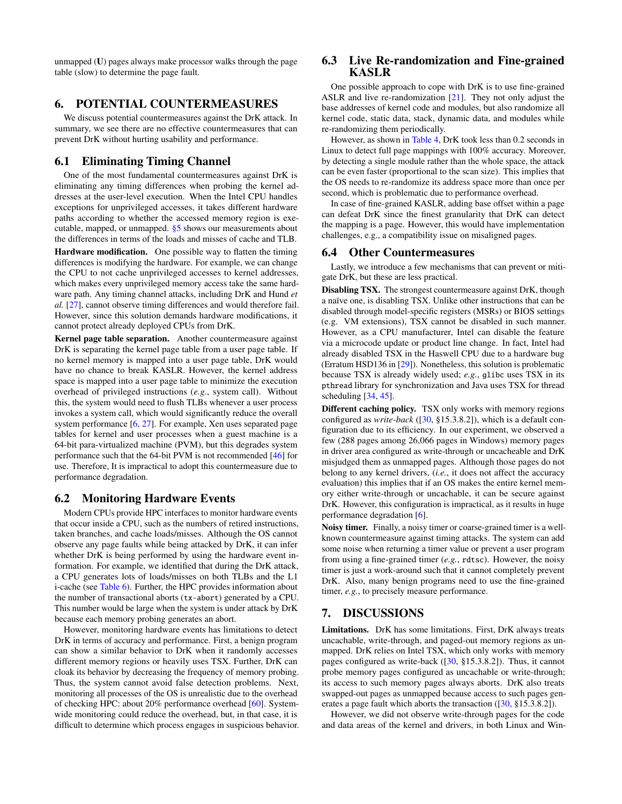unmapped (U) pages always make processor walks through the page table (slow) to determine the page fault.

### <span id="page-9-0"></span>6. POTENTIAL COUNTERMEASURES

We discuss potential countermeasures against the DrK attack. In summary, we see there are no effective countermeasures that can prevent DrK without hurting usability and performance.

#### 6.1 Eliminating Timing Channel

One of the most fundamental countermeasures against DrK is eliminating any timing differences when probing the kernel addresses at the user-level execution. When the Intel CPU handles exceptions for unprivileged accesses, it takes different hardware paths according to whether the accessed memory region is executable, mapped, or unmapped. [§5](#page-7-0) shows our measurements about the differences in terms of the loads and misses of cache and TLB.

Hardware modification. One possible way to flatten the timing differences is modifying the hardware. For example, we can change the CPU to not cache unprivileged accesses to kernel addresses, which makes every unprivileged memory access take the same hardware path. Any timing channel attacks, including DrK and Hund *et al.* [\[27\]](#page-11-1), cannot observe timing differences and would therefore fail. However, since this solution demands hardware modifications, it cannot protect already deployed CPUs from DrK.

Kernel page table separation. Another countermeasure against DrK is separating the kernel page table from a user page table. If no kernel memory is mapped into a user page table, DrK would have no chance to break KASLR. However, the kernel address space is mapped into a user page table to minimize the execution overhead of privileged instructions (*e.g.*, system call). Without this, the system would need to flush TLBs whenever a user process invokes a system call, which would significantly reduce the overall system performance [\[6,](#page-11-8) [27\]](#page-11-1). For example, Xen uses separated page tables for kernel and user processes when a guest machine is a 64-bit para-virtualized machine (PVM), but this degrades system performance such that the 64-bit PVM is not recommended [\[46\]](#page-12-16) for use. Therefore, It is impractical to adopt this countermeasure due to performance degradation.

#### 6.2 Monitoring Hardware Events

Modern CPUs provide HPC interfaces to monitor hardware events that occur inside a CPU, such as the numbers of retired instructions, taken branches, and cache loads/misses. Although the OS cannot observe any page faults while being attacked by DrK, it can infer whether DrK is being performed by using the hardware event information. For example, we identified that during the DrK attack, a CPU generates lots of loads/misses on both TLBs and the L1 i-cache (see [Table 6\)](#page-7-5). Further, the HPC provides information about the number of transactional aborts (tx-abort) generated by a CPU. This number would be large when the system is under attack by DrK because each memory probing generates an abort.

However, monitoring hardware events has limitations to detect DrK in terms of accuracy and performance. First, a benign program can show a similar behavior to DrK when it randomly accesses different memory regions or heavily uses TSX. Further, DrK can cloak its behavior by decreasing the frequency of memory probing. Thus, the system cannot avoid false detection problems. Next, monitoring all processes of the OS is unrealistic due to the overhead of checking HPC: about 20% performance overhead [\[60\]](#page-12-17). Systemwide monitoring could reduce the overhead, but, in that case, it is difficult to determine which process engages in suspicious behavior.

# 6.3 Live Re-randomization and Fine-grained KASLR

One possible approach to cope with DrK is to use fine-grained ASLR and live re-randomization [\[21\]](#page-11-9). They not only adjust the base addresses of kernel code and modules, but also randomize all kernel code, static data, stack, dynamic data, and modules while re-randomizing them periodically.

However, as shown in [Table 4,](#page-6-2) DrK took less than 0.2 seconds in Linux to detect full page mappings with 100% accuracy. Moreover, by detecting a single module rather than the whole space, the attack can be even faster (proportional to the scan size). This implies that the OS needs to re-randomize its address space more than once per second, which is problematic due to performance overhead.

In case of fine-grained KASLR, adding base offset within a page can defeat DrK since the finest granularity that DrK can detect the mapping is a page. However, this would have implementation challenges, e.g., a compatibility issue on misaligned pages.

#### 6.4 Other Countermeasures

Lastly, we introduce a few mechanisms that can prevent or mitigate DrK, but these are less practical.

Disabling TSX. The strongest countermeasure against DrK, though a naïve one, is disabling TSX. Unlike other instructions that can be disabled through model-specific registers (MSRs) or BIOS settings (e.g. VM extensions), TSX cannot be disabled in such manner. However, as a CPU manufacturer, Intel can disable the feature via a microcode update or product line change. In fact, Intel had already disabled TSX in the Haswell CPU due to a hardware bug (Erratum HSD136 in [\[29\]](#page-12-18)). Nonetheless, this solution is problematic because TSX is already widely used; *e.g.*, glibc uses TSX in its pthread library for synchronization and Java uses TSX for thread scheduling [\[34,](#page-12-19) [45\]](#page-12-20).

Different caching policy. TSX only works with memory regions configured as *write-back* ([\[30,](#page-12-14) §15.3.8.2]), which is a default configuration due to its efficiency. In our experiment, we observed a few (288 pages among 26,066 pages in Windows) memory pages in driver area configured as write-through or uncacheable and DrK misjudged them as unmapped pages. Although those pages do not belong to any kernel drivers, (*i.e.*, it does not affect the accuracy evaluation) this implies that if an OS makes the entire kernel memory either write-through or uncachable, it can be secure against DrK. However, this configuration is impractical, as it results in huge performance degradation [\[6\]](#page-11-8).

Noisy timer. Finally, a noisy timer or coarse-grained timer is a wellknown countermeasure against timing attacks. The system can add some noise when returning a timer value or prevent a user program from using a fine-grained timer (*e.g.*, rdtsc). However, the noisy timer is just a work-around such that it cannot completely prevent DrK. Also, many benign programs need to use the fine-grained timer, *e.g.*, to precisely measure performance.

# <span id="page-9-1"></span>7. DISCUSSIONS

Limitations. DrK has some limitations. First, DrK always treats uncachable, write-through, and paged-out memory regions as unmapped. DrK relies on Intel TSX, which only works with memory pages configured as write-back ([\[30,](#page-12-14) §15.3.8.2]). Thus, it cannot probe memory pages configured as uncachable or write-through; its access to such memory pages always aborts. DrK also treats swapped-out pages as unmapped because access to such pages gen-erates a page fault which aborts the transaction ([\[30,](#page-12-14) §15.3.8.2]).

However, we did not observe write-through pages for the code and data areas of the kernel and drivers, in both Linux and Win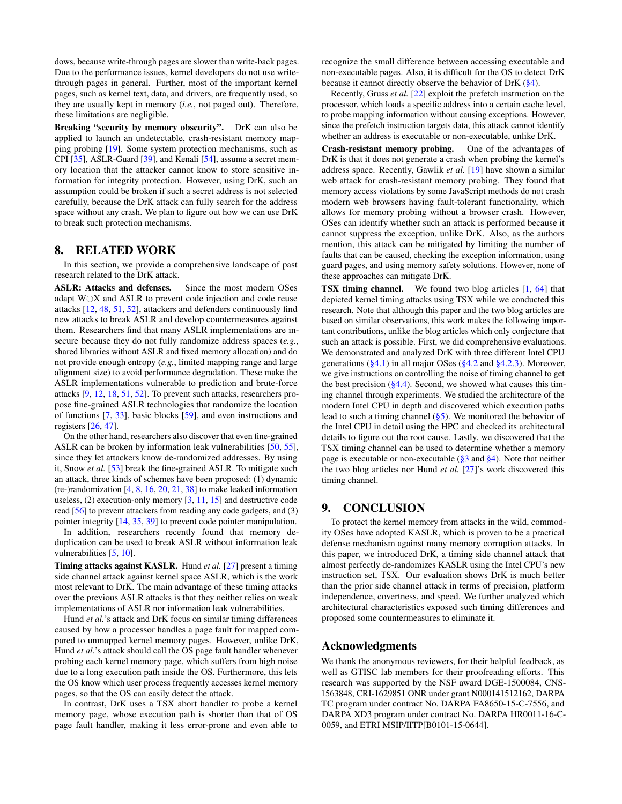dows, because write-through pages are slower than write-back pages. Due to the performance issues, kernel developers do not use writethrough pages in general. Further, most of the important kernel pages, such as kernel text, data, and drivers, are frequently used, so they are usually kept in memory (*i.e.*, not paged out). Therefore, these limitations are negligible.

Breaking "security by memory obscurity". DrK can also be applied to launch an undetectable, crash-resistant memory mapping probing [\[19\]](#page-11-10). Some system protection mechanisms, such as CPI [\[35\]](#page-12-21), ASLR-Guard [\[39\]](#page-12-22), and Kenali [\[54\]](#page-12-23), assume a secret memory location that the attacker cannot know to store sensitive information for integrity protection. However, using DrK, such an assumption could be broken if such a secret address is not selected carefully, because the DrK attack can fully search for the address space without any crash. We plan to figure out how we can use DrK to break such protection mechanisms.

# <span id="page-10-0"></span>8. RELATED WORK

In this section, we provide a comprehensive landscape of past research related to the DrK attack.

ASLR: Attacks and defenses. Since the most modern OSes adapt W⊕X and ASLR to prevent code injection and code reuse attacks [\[12,](#page-11-11) [48,](#page-12-24) [51,](#page-12-25) [52\]](#page-12-26), attackers and defenders continuously find new attacks to break ASLR and develop countermeasures against them. Researchers find that many ASLR implementations are insecure because they do not fully randomize address spaces (*e.g.*, shared libraries without ASLR and fixed memory allocation) and do not provide enough entropy (*e.g.*, limited mapping range and large alignment size) to avoid performance degradation. These make the ASLR implementations vulnerable to prediction and brute-force attacks [\[9,](#page-11-12) [12,](#page-11-11) [18,](#page-11-13) [51,](#page-12-25) [52\]](#page-12-26). To prevent such attacks, researchers propose fine-grained ASLR technologies that randomize the location of functions [\[7,](#page-11-14) [33\]](#page-12-27), basic blocks [\[59\]](#page-12-28), and even instructions and registers [\[26,](#page-11-15) [47\]](#page-12-29).

On the other hand, researchers also discover that even fine-grained ASLR can be broken by information leak vulnerabilities [\[50,](#page-12-30) [55\]](#page-12-31), since they let attackers know de-randomized addresses. By using it, Snow *et al.* [\[53\]](#page-12-32) break the fine-grained ASLR. To mitigate such an attack, three kinds of schemes have been proposed: (1) dynamic (re-)randomization [\[4,](#page-11-16) [8,](#page-11-17) [16,](#page-11-18) [20,](#page-11-19) [21,](#page-11-9) [38\]](#page-12-33) to make leaked information useless, (2) execution-only memory [\[3,](#page-11-20) [11,](#page-11-21) [15\]](#page-11-22) and destructive code read [\[56\]](#page-12-34) to prevent attackers from reading any code gadgets, and (3) pointer integrity [\[14,](#page-11-23) [35,](#page-12-21) [39\]](#page-12-22) to prevent code pointer manipulation.

In addition, researchers recently found that memory deduplication can be used to break ASLR without information leak vulnerabilities [\[5,](#page-11-24) [10\]](#page-11-25).

Timing attacks against KASLR. Hund *et al.* [\[27\]](#page-11-1) present a timing side channel attack against kernel space ASLR, which is the work most relevant to DrK. The main advantage of these timing attacks over the previous ASLR attacks is that they neither relies on weak implementations of ASLR nor information leak vulnerabilities.

Hund *et al.*'s attack and DrK focus on similar timing differences caused by how a processor handles a page fault for mapped compared to unmapped kernel memory pages. However, unlike DrK, Hund *et al.*'s attack should call the OS page fault handler whenever probing each kernel memory page, which suffers from high noise due to a long execution path inside the OS. Furthermore, this lets the OS know which user process frequently accesses kernel memory pages, so that the OS can easily detect the attack.

In contrast, DrK uses a TSX abort handler to probe a kernel memory page, whose execution path is shorter than that of OS page fault handler, making it less error-prone and even able to

recognize the small difference between accessing executable and non-executable pages. Also, it is difficult for the OS to detect DrK because it cannot directly observe the behavior of DrK [\(§4\)](#page-3-0).

Recently, Gruss *et al.* [\[22\]](#page-11-26) exploit the prefetch instruction on the processor, which loads a specific address into a certain cache level, to probe mapping information without causing exceptions. However, since the prefetch instruction targets data, this attack cannot identify whether an address is executable or non-executable, unlike DrK.

Crash-resistant memory probing. One of the advantages of DrK is that it does not generate a crash when probing the kernel's address space. Recently, Gawlik *et al.* [\[19\]](#page-11-10) have shown a similar web attack for crash-resistant memory probing. They found that memory access violations by some JavaScript methods do not crash modern web browsers having fault-tolerant functionality, which allows for memory probing without a browser crash. However, OSes can identify whether such an attack is performed because it cannot suppress the exception, unlike DrK. Also, as the authors mention, this attack can be mitigated by limiting the number of faults that can be caused, checking the exception information, using guard pages, and using memory safety solutions. However, none of these approaches can mitigate DrK.

TSX timing channel. We found two blog articles [\[1,](#page-11-27) [64\]](#page-12-35) that depicted kernel timing attacks using TSX while we conducted this research. Note that although this paper and the two blog articles are based on similar observations, this work makes the following important contributions, unlike the blog articles which only conjecture that such an attack is possible. First, we did comprehensive evaluations. We demonstrated and analyzed DrK with three different Intel CPU generations  $(\S 4.1)$  in all major OSes  $(\S 4.2$  and  $\S 4.2.3)$ . Moreover, we give instructions on controlling the noise of timing channel to get the best precision  $(\S4.4)$ . Second, we showed what causes this timing channel through experiments. We studied the architecture of the modern Intel CPU in depth and discovered which execution paths lead to such a timing channel [\(§5\)](#page-7-0). We monitored the behavior of the Intel CPU in detail using the HPC and checked its architectural details to figure out the root cause. Lastly, we discovered that the TSX timing channel can be used to determine whether a memory page is executable or non-executable  $(\S 3$  and  $\S 4)$ . Note that neither the two blog articles nor Hund *et al.* [\[27\]](#page-11-1)'s work discovered this timing channel.

# <span id="page-10-1"></span>9. CONCLUSION

To protect the kernel memory from attacks in the wild, commodity OSes have adopted KASLR, which is proven to be a practical defense mechanism against many memory corruption attacks. In this paper, we introduced DrK, a timing side channel attack that almost perfectly de-randomizes KASLR using the Intel CPU's new instruction set, TSX. Our evaluation shows DrK is much better than the prior side channel attack in terms of precision, platform independence, covertness, and speed. We further analyzed which architectural characteristics exposed such timing differences and proposed some countermeasures to eliminate it.

#### Acknowledgments

We thank the anonymous reviewers, for their helpful feedback, as well as GTISC lab members for their proofreading efforts. This research was supported by the NSF award DGE-1500084, CNS-1563848, CRI-1629851 ONR under grant N000141512162, DARPA TC program under contract No. DARPA FA8650-15-C-7556, and DARPA XD3 program under contract No. DARPA HR0011-16-C-0059, and ETRI MSIP/IITP[B0101-15-0644].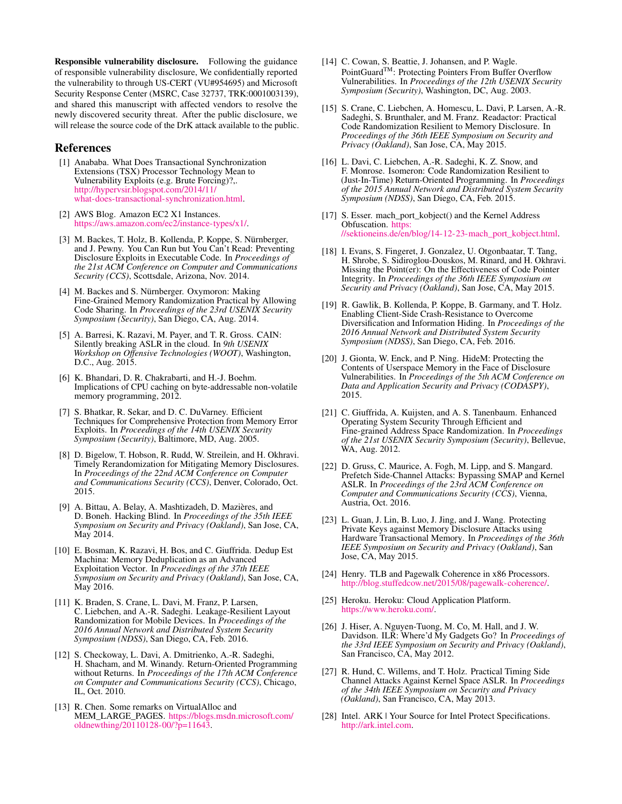Responsible vulnerability disclosure. Following the guidance of responsible vulnerability disclosure, We confidentially reported the vulnerability to through US-CERT (VU#954695) and Microsoft Security Response Center (MSRC, Case 32737, TRK:0001003139), and shared this manuscript with affected vendors to resolve the newly discovered security threat. After the public disclosure, we will release the source code of the DrK attack available to the public.

#### References

- <span id="page-11-27"></span>[1] Anababa. What Does Transactional Synchronization Extensions (TSX) Processor Technology Mean to Vulnerability Exploits (e.g. Brute Forcing)?,. [http://hypervsir.blogspot.com/2014/11/](http://hypervsir.blogspot.com/2014/11/what-does-transactional-synchronization.html) [what-does-transactional-synchronization.html.](http://hypervsir.blogspot.com/2014/11/what-does-transactional-synchronization.html)
- <span id="page-11-6"></span>[2] AWS Blog. Amazon EC2 X1 Instances. [https://aws.amazon.com/ec2/instance-types/x1/.](https://aws.amazon.com/ec2/instance-types/x1/)
- <span id="page-11-20"></span>[3] M. Backes, T. Holz, B. Kollenda, P. Koppe, S. Nürnberger, and J. Pewny. You Can Run but You Can't Read: Preventing Disclosure Exploits in Executable Code. In *Proceedings of the 21st ACM Conference on Computer and Communications Security (CCS)*, Scottsdale, Arizona, Nov. 2014.
- <span id="page-11-16"></span>[4] M. Backes and S. Nürnberger. Oxymoron: Making Fine-Grained Memory Randomization Practical by Allowing Code Sharing. In *Proceedings of the 23rd USENIX Security Symposium (Security)*, San Diego, CA, Aug. 2014.
- <span id="page-11-24"></span>[5] A. Barresi, K. Razavi, M. Payer, and T. R. Gross. CAIN: Silently breaking ASLR in the cloud. In *9th USENIX Workshop on Offensive Technologies (WOOT)*, Washington, D.C., Aug. 2015.
- <span id="page-11-8"></span>[6] K. Bhandari, D. R. Chakrabarti, and H.-J. Boehm. Implications of CPU caching on byte-addressable non-volatile memory programming, 2012.
- <span id="page-11-14"></span>[7] S. Bhatkar, R. Sekar, and D. C. DuVarney. Efficient Techniques for Comprehensive Protection from Memory Error Exploits. In *Proceedings of the 14th USENIX Security Symposium (Security)*, Baltimore, MD, Aug. 2005.
- <span id="page-11-17"></span>[8] D. Bigelow, T. Hobson, R. Rudd, W. Streilein, and H. Okhravi. Timely Rerandomization for Mitigating Memory Disclosures. In *Proceedings of the 22nd ACM Conference on Computer and Communications Security (CCS)*, Denver, Colorado, Oct. 2015.
- <span id="page-11-12"></span>[9] A. Bittau, A. Belay, A. Mashtizadeh, D. Mazières, and D. Boneh. Hacking Blind. In *Proceedings of the 35th IEEE Symposium on Security and Privacy (Oakland)*, San Jose, CA, May 2014.
- <span id="page-11-25"></span>[10] E. Bosman, K. Razavi, H. Bos, and C. Giuffrida. Dedup Est Machina: Memory Deduplication as an Advanced Exploitation Vector. In *Proceedings of the 37th IEEE Symposium on Security and Privacy (Oakland)*, San Jose, CA, May 2016.
- <span id="page-11-21"></span>[11] K. Braden, S. Crane, L. Davi, M. Franz, P. Larsen, C. Liebchen, and A.-R. Sadeghi. Leakage-Resilient Layout Randomization for Mobile Devices. In *Proceedings of the 2016 Annual Network and Distributed System Security Symposium (NDSS)*, San Diego, CA, Feb. 2016.
- <span id="page-11-11"></span>[12] S. Checkoway, L. Davi, A. Dmitrienko, A.-R. Sadeghi, H. Shacham, and M. Winandy. Return-Oriented Programming without Returns. In *Proceedings of the 17th ACM Conference on Computer and Communications Security (CCS)*, Chicago, IL, Oct. 2010.
- <span id="page-11-3"></span>[13] R. Chen. Some remarks on VirtualAlloc and MEM\_LARGE\_PAGES. [https://blogs.msdn.microsoft.com/](https://blogs.msdn.microsoft.com/oldnewthing/20110128-00/?p=11643) [oldnewthing/20110128-00/?p=11643.](https://blogs.msdn.microsoft.com/oldnewthing/20110128-00/?p=11643)
- <span id="page-11-23"></span>[14] C. Cowan, S. Beattie, J. Johansen, and P. Wagle. PointGuard<sup>TM</sup>: Protecting Pointers From Buffer Overflow Vulnerabilities. In *Proceedings of the 12th USENIX Security Symposium (Security)*, Washington, DC, Aug. 2003.
- <span id="page-11-22"></span>[15] S. Crane, C. Liebchen, A. Homescu, L. Davi, P. Larsen, A.-R. Sadeghi, S. Brunthaler, and M. Franz. Readactor: Practical Code Randomization Resilient to Memory Disclosure. In *Proceedings of the 36th IEEE Symposium on Security and Privacy (Oakland)*, San Jose, CA, May 2015.
- <span id="page-11-18"></span>[16] L. Davi, C. Liebchen, A.-R. Sadeghi, K. Z. Snow, and F. Monrose. Isomeron: Code Randomization Resilient to (Just-In-Time) Return-Oriented Programming. In *Proceedings of the 2015 Annual Network and Distributed System Security Symposium (NDSS)*, San Diego, CA, Feb. 2015.
- <span id="page-11-0"></span>[17] S. Esser. mach\_port\_kobject() and the Kernel Address Obfuscation. [https:](https://sektioneins.de/en/blog/14-12-23-mach_port_kobject.html) [//sektioneins.de/en/blog/14-12-23-mach\\_port\\_kobject.html.](https://sektioneins.de/en/blog/14-12-23-mach_port_kobject.html)
- <span id="page-11-13"></span>[18] I. Evans, S. Fingeret, J. Gonzalez, U. Otgonbaatar, T. Tang, H. Shrobe, S. Sidiroglou-Douskos, M. Rinard, and H. Okhravi. Missing the Point(er): On the Effectiveness of Code Pointer Integrity. In *Proceedings of the 36th IEEE Symposium on Security and Privacy (Oakland)*, San Jose, CA, May 2015.
- <span id="page-11-10"></span>[19] R. Gawlik, B. Kollenda, P. Koppe, B. Garmany, and T. Holz. Enabling Client-Side Crash-Resistance to Overcome Diversification and Information Hiding. In *Proceedings of the 2016 Annual Network and Distributed System Security Symposium (NDSS)*, San Diego, CA, Feb. 2016.
- <span id="page-11-19"></span>[20] J. Gionta, W. Enck, and P. Ning. HideM: Protecting the Contents of Userspace Memory in the Face of Disclosure Vulnerabilities. In *Proceedings of the 5th ACM Conference on Data and Application Security and Privacy (CODASPY)*, 2015.
- <span id="page-11-9"></span>[21] C. Giuffrida, A. Kuijsten, and A. S. Tanenbaum. Enhanced Operating System Security Through Efficient and Fine-grained Address Space Randomization. In *Proceedings of the 21st USENIX Security Symposium (Security)*, Bellevue, WA, Aug. 2012.
- <span id="page-11-26"></span>[22] D. Gruss, C. Maurice, A. Fogh, M. Lipp, and S. Mangard. Prefetch Side-Channel Attacks: Bypassing SMAP and Kernel ASLR. In *Proceedings of the 23rd ACM Conference on Computer and Communications Security (CCS)*, Vienna, Austria, Oct. 2016.
- <span id="page-11-4"></span>[23] L. Guan, J. Lin, B. Luo, J. Jing, and J. Wang. Protecting Private Keys against Memory Disclosure Attacks using Hardware Transactional Memory. In *Proceedings of the 36th IEEE Symposium on Security and Privacy (Oakland)*, San Jose, CA, May 2015.
- <span id="page-11-7"></span>[24] Henry. TLB and Pagewalk Coherence in x86 Processors. [http://blog.stuffedcow.net/2015/08/pagewalk-coherence/.](http://blog.stuffedcow.net/2015/08/pagewalk-coherence/)
- <span id="page-11-5"></span>[25] Heroku. Heroku: Cloud Application Platform. [https://www.heroku.com/.](https://www.heroku.com/)
- <span id="page-11-15"></span>[26] J. Hiser, A. Nguyen-Tuong, M. Co, M. Hall, and J. W. Davidson. ILR: Where'd My Gadgets Go? In *Proceedings of the 33rd IEEE Symposium on Security and Privacy (Oakland)*, San Francisco, CA, May 2012.
- <span id="page-11-1"></span>[27] R. Hund, C. Willems, and T. Holz. Practical Timing Side Channel Attacks Against Kernel Space ASLR. In *Proceedings of the 34th IEEE Symposium on Security and Privacy (Oakland)*, San Francisco, CA, May 2013.
- <span id="page-11-2"></span>[28] Intel. ARK | Your Source for Intel Protect Specifications. [http://ark.intel.com.](http://ark.intel.com)